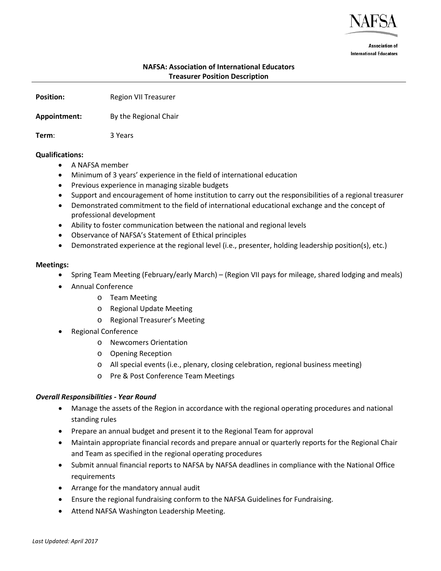

**Association of International Educators** 

# **NAFSA: Association of International Educators Treasurer Position Description**

**Position: Region VII Treasurer** 

## **Appointment:** By the Regional Chair

**Term**: 3 Years

## **Qualifications:**

- A NAFSA member
- Minimum of 3 years' experience in the field of international education
- Previous experience in managing sizable budgets
- Support and encouragement of home institution to carry out the responsibilities of a regional treasurer
- Demonstrated commitment to the field of international educational exchange and the concept of professional development
- Ability to foster communication between the national and regional levels
- Observance of NAFSA's Statement of Ethical principles
- Demonstrated experience at the regional level (i.e., presenter, holding leadership position(s), etc.)

## **Meetings:**

- Spring Team Meeting (February/early March) (Region VII pays for mileage, shared lodging and meals)
- Annual Conference
	- o Team Meeting
	- o Regional Update Meeting
	- o Regional Treasurer's Meeting
- Regional Conference
	- o Newcomers Orientation
	- o Opening Reception
	- o All special events (i.e., plenary, closing celebration, regional business meeting)
	- o Pre & Post Conference Team Meetings

## *Overall Responsibilities - Year Round*

- Manage the assets of the Region in accordance with the regional operating procedures and national standing rules
- Prepare an annual budget and present it to the Regional Team for approval
- Maintain appropriate financial records and prepare annual or quarterly reports for the Regional Chair and Team as specified in the regional operating procedures
- Submit annual financial reports to NAFSA by NAFSA deadlines in compliance with the National Office requirements
- Arrange for the mandatory annual audit
- Ensure the regional fundraising conform to the NAFSA Guidelines for Fundraising.
- Attend NAFSA Washington Leadership Meeting.